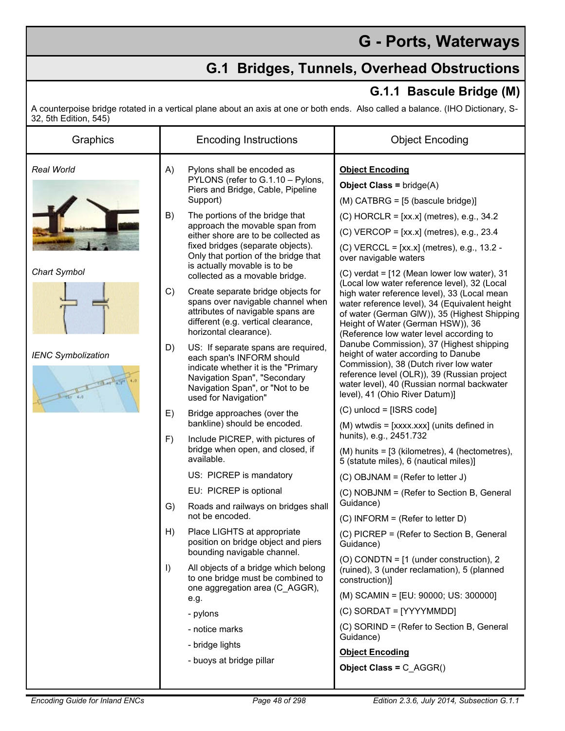## **G - Ports, Waterways**

## **G.1 Bridges, Tunnels, Overhead Obstructions**

## **G.1.1 Bascule Bridge (M)**

A counterpoise bridge rotated in a vertical plane about an axis at one or both ends. Also called a balance. (IHO Dictionary, S-32, 5th Edition, 545)

| Graphics                                 |           | <b>Encoding Instructions</b>                                                                                                                                                                                                                            | <b>Object Encoding</b>                                                                                                                                                                                                                                                       |
|------------------------------------------|-----------|---------------------------------------------------------------------------------------------------------------------------------------------------------------------------------------------------------------------------------------------------------|------------------------------------------------------------------------------------------------------------------------------------------------------------------------------------------------------------------------------------------------------------------------------|
| Real World                               | A)        | Pylons shall be encoded as<br>PYLONS (refer to G.1.10 - Pylons,<br>Piers and Bridge, Cable, Pipeline<br>Support)                                                                                                                                        | <b>Object Encoding</b><br><b>Object Class = bridge(A)</b><br>$(M)$ CATBRG = $[5$ (bascule bridge)]                                                                                                                                                                           |
| Chart Symbol                             | B)        | The portions of the bridge that<br>approach the movable span from<br>either shore are to be collected as<br>fixed bridges (separate objects).<br>Only that portion of the bridge that<br>is actually movable is to be<br>collected as a movable bridge. | $(C)$ HORCLR = [xx.x] (metres), e.g., 34.2<br>$(C)$ VERCOP = [xx.x] (metres), e.g., 23.4<br>(C) VERCCL = [xx.x] (metres), e.g., 13.2 -<br>over navigable waters<br>$(C)$ verdat = $[12$ (Mean lower low water), 31                                                           |
|                                          | C)        | Create separate bridge objects for<br>spans over navigable channel when<br>attributes of navigable spans are<br>different (e.g. vertical clearance,<br>horizontal clearance).                                                                           | (Local low water reference level), 32 (Local<br>high water reference level), 33 (Local mean<br>water reference level), 34 (Equivalent height<br>of water (German GIW)), 35 (Highest Shipping<br>Height of Water (German HSW)), 36<br>(Reference low water level according to |
| <b>IENC Symbolization</b><br>$ctx = 4.0$ | D)        | US: If separate spans are required,<br>each span's INFORM should<br>indicate whether it is the "Primary<br>Navigation Span", "Secondary<br>Navigation Span", or "Not to be<br>used for Navigation"                                                      | Danube Commission), 37 (Highest shipping<br>height of water according to Danube<br>Commission), 38 (Dutch river low water<br>reference level (OLR)), 39 (Russian project<br>water level), 40 (Russian normal backwater<br>level), 41 (Ohio River Datum)]                     |
|                                          | E)        | Bridge approaches (over the                                                                                                                                                                                                                             | $(C)$ unlocd = [ISRS code]                                                                                                                                                                                                                                                   |
|                                          |           | bankline) should be encoded.                                                                                                                                                                                                                            | (M) wtwdis = [xxxx.xxx] (units defined in<br>hunits), e.g., 2451.732                                                                                                                                                                                                         |
|                                          | F)        | Include PICREP, with pictures of<br>bridge when open, and closed, if<br>available.                                                                                                                                                                      | (M) hunits = [3 (kilometres), 4 (hectometres),<br>5 (statute miles), 6 (nautical miles)]                                                                                                                                                                                     |
|                                          |           | US: PICREP is mandatory                                                                                                                                                                                                                                 | (C) OBJNAM = (Refer to letter J)                                                                                                                                                                                                                                             |
|                                          |           | EU: PICREP is optional                                                                                                                                                                                                                                  | (C) NOBJNM = (Refer to Section B, General<br>Guidance)                                                                                                                                                                                                                       |
|                                          | G)        | Roads and railways on bridges shall<br>not be encoded.                                                                                                                                                                                                  | (C) INFORM = (Refer to letter D)                                                                                                                                                                                                                                             |
|                                          | H)        | Place LIGHTS at appropriate<br>position on bridge object and piers<br>bounding navigable channel.                                                                                                                                                       | (C) PICREP = (Refer to Section B, General<br>Guidance)                                                                                                                                                                                                                       |
|                                          | $\vert$ ) | All objects of a bridge which belong<br>to one bridge must be combined to<br>one aggregation area (C_AGGR),<br>e.g.                                                                                                                                     | (O) CONDTN = $[1$ (under construction), 2<br>(ruined), 3 (under reclamation), 5 (planned<br>construction)]                                                                                                                                                                   |
|                                          |           |                                                                                                                                                                                                                                                         | (M) SCAMIN = [EU: 90000; US: 300000]                                                                                                                                                                                                                                         |
|                                          |           | - pylons                                                                                                                                                                                                                                                | (C) SORDAT = [YYYYMMDD]                                                                                                                                                                                                                                                      |
|                                          |           | - notice marks<br>- bridge lights<br>- buoys at bridge pillar                                                                                                                                                                                           | (C) SORIND = (Refer to Section B, General<br>Guidance)                                                                                                                                                                                                                       |
|                                          |           |                                                                                                                                                                                                                                                         | <b>Object Encoding</b>                                                                                                                                                                                                                                                       |
|                                          |           |                                                                                                                                                                                                                                                         | Object Class = C_AGGR()                                                                                                                                                                                                                                                      |
|                                          |           |                                                                                                                                                                                                                                                         |                                                                                                                                                                                                                                                                              |